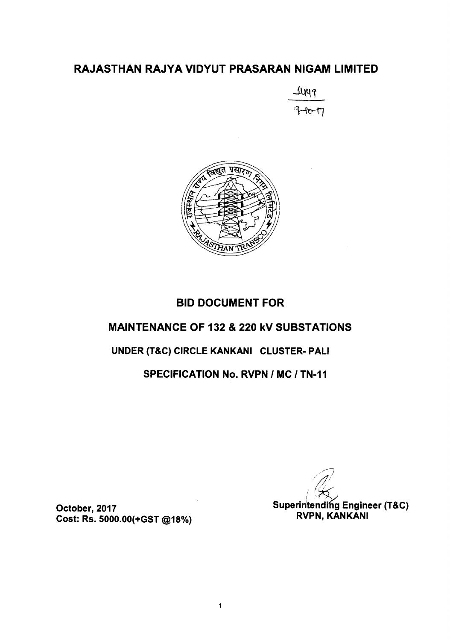## RAJASTHAN RAJYA VIDYUT PRASARAN NIGAM LIMITED





# **BID DOCUMENT FOR MAINTENANCE OF 132 & 220 kV SUBSTATIONS** UNDER (T&C) CIRCLE KANKANI CLUSTER- PALI **SPECIFICATION No. RVPN / MC / TN-11**

 $\ddagger$ 

**Superintending Engineer (T&C) RVPN, KANKANI** 

October, 2017 Cost: Rs. 5000.00(+GST @18%)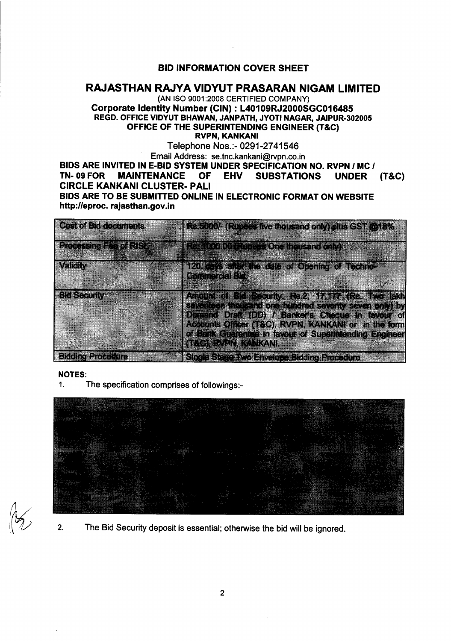#### BID INFORMATION COVER SHEET

#### RAJASTHAN RAJYA VIDYUT PRASARAN NIGAM LIMITED

(AN ISO 9001:2008 CERTIFIED COMPANY) Corporate Identity Number (CIN) : L40109RJ2000SGC016485 REGD. OFFICE VIDYUT BHAWAN, JANPATH, JYOTI NAGAR, JAIPUR-302005 OFFICE OF THE SUPERINTENDING ENGINEER (T&C) RVPN, KANKANI

Telephone Nos.:- 0291-2741546 Email Address: se.tnc.kankani@rvpn.co.in

BIDS ARE INVITED IN E-BID SYSTEM UNDER SPECIFICATION NO. RVPN / MC / TN- 09 FOR MAINTENANCE OF EHV SUBSTATIONS UNDER SUBSTATIONS UNDER (T&C) CIRCLE KANKANI CLUSTER- PAll BIDS ARE TO BE SUBMITTED ONLINE IN ELECTRONIC FORMAT ON WEBSITE http://eproc. rajasthan.gov.in

| <b>Cost of Bid documents</b>  | Rs.5000/- (Rupees five thousand only) plus GST @18%                                                                                                                                                                     |
|-------------------------------|-------------------------------------------------------------------------------------------------------------------------------------------------------------------------------------------------------------------------|
| <b>Processing Fee of RISE</b> | <b>Resident 00 (Rupeas One Industrie only)</b>                                                                                                                                                                          |
| Valaiv                        | 120 days after the date of Opening of Techno-<br><b>Connercal Bide</b>                                                                                                                                                  |
| <b>Bid Security</b>           | Amount of Bid Security: Rs.2, 17,177 (Rs. Two lakh<br>seventeen thousand one hundred seventy seven only) by<br>Demand Draft (DD) / Banker's Cheque in favour of<br>Accounts Officer (T&C), RVPN, KANKANI or in the form |
|                               | of Bank Guarantee in favour of Superintending Engineer<br><b>TROXRYEN KANKANI</b>                                                                                                                                       |
| <b>Bidding Procedure</b>      | <b>Single Stage Two Envelope Bidding Procedure</b>                                                                                                                                                                      |

#### NOTES:

1. The specification comprises of followings:-



2. The Bid Security deposit is essential; otherwise the bid will be ignored.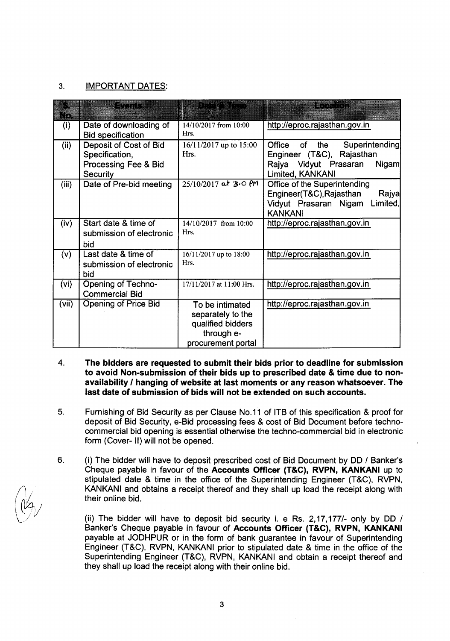#### 3. IMPORTANT DATES:

| O     | a matang                                                                     | DESE ROSS                                                                                     | <b>RUCHARD</b>                                                                                                           |
|-------|------------------------------------------------------------------------------|-----------------------------------------------------------------------------------------------|--------------------------------------------------------------------------------------------------------------------------|
| (i)   | Date of downloading of<br><b>Bid specification</b>                           | 14/10/2017 from 10:00<br>Hrs.                                                                 | http://eproc.rajasthan.gov.in                                                                                            |
| (ii)  | Deposit of Cost of Bid<br>Specification,<br>Processing Fee & Bid<br>Security | 16/11/2017 up to 15:00<br>Hrs.                                                                | Office of<br>the<br>Superintending<br>Engineer (T&C), Rajasthan<br>Rajya Vidyut Prasaran<br>Nigam<br>Limited, KANKANI    |
| (iii) | Date of Pre-bid meeting                                                      | 25/10/2017 at 3.0 PM                                                                          | Office of the Superintending<br>Engineer(T&C), Rajasthan<br>Rajya<br>Limited,<br>Vidyut Prasaran Nigam<br><b>KANKANI</b> |
| (iv)  | Start date & time of<br>submission of electronic<br>bid                      | 14/10/2017 from 10:00<br>Hrs.                                                                 | http://eproc.rajasthan.gov.in                                                                                            |
| (v)   | Last date & time of<br>submission of electronic<br>bid                       | 16/11/2017 up to 18:00<br>Hrs.                                                                | http://eproc.rajasthan.gov.in                                                                                            |
| (vi)  | <b>Opening of Techno-</b><br><b>Commercial Bid</b>                           | 17/11/2017 at 11:00 Hrs.                                                                      | http://eproc.rajasthan.gov.in                                                                                            |
| (vii) | Opening of Price Bid                                                         | To be intimated<br>separately to the<br>qualified bidders<br>through e-<br>procurement portal | http://eproc.rajasthan.gov.in                                                                                            |

- 4. The bidders are requested to submit their bids prior to deadline for submission to avoid Non-submission of their bids up to prescribed date & time due to nonavailability *I* hanging of website at last moments or any reason whatsoever. The last date of submission of bids will not be extended on such accounts.
- 5. Furnishing of Bid Security as per Clause No.11 of ITB of this specification & proof for deposit of Bid Security, e-Bid processing fees & cost of Bid Document before technocommercial bid opening is essential otherwise the techno-commercial bid in electronic form (Cover- II) will not be opened.
- (i) The bidder will have to deposit prescribed cost of Bid Document by DD / Banker's Cheque payable in favour of the Accounts Officer (T&C), RVPN, KANKANI up to stipulated date & time in the office of the Superintending Engineer (T&C), RVPN, KANKANI and obtains a receipt thereof and they shall up load the receipt along with their online bid. 6.

(ii) The bidder will have to deposit bid security i. e Rs. 2,17,177/- only by DD / Banker's Cheque payable in favour of Accounts Officer (T&C), RVPN, KANKANI payable at JODHPUR or in the form of bank guarantee in favour of Superintending Engineer (T&C), RVPN, KANKANI prior to stipulated date & time in the office of the Superintending Engineer (T&C), RVPN, KANKANI and obtain a receipt thereof and they shall up load the receipt along with their online bid.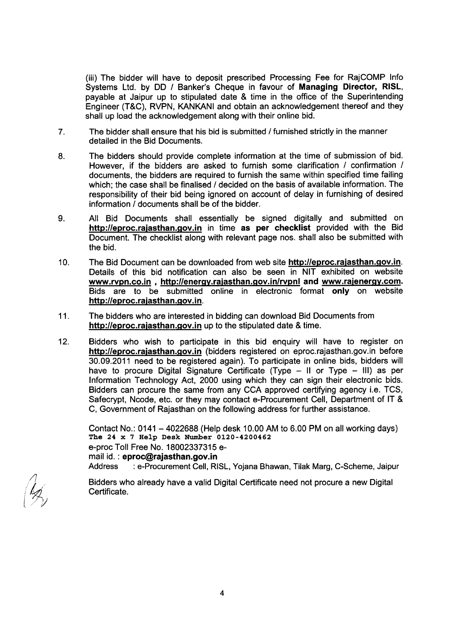(iii) The bidder will have to deposit prescribed Processing Fee for RajCOMP Info Systems Ltd. by DO *I* Banker's Cheque in favour of Managing Director, RISL, payable at Jaipur up to stipulated date & time in the office of the Superintending Engineer (T&C), RVPN, KANKANI and obtain an acknowledgement thereof and they shall up load the acknowledgement along with their online bid.

- 7. The bidder shall ensure that his bid is submitted *I* furnished strictly in the manner detailed in the Bid Documents.
- 8. The bidders should provide complete information at the time of submission of bid. However, if the bidders are asked to furnish some clarification / confirmation / documents, the bidders are required to furnish the same within specified time failing which; the case shall be finalised / decided on the basis of available information. The responsibility of their bid being ignored on account of delay in furnishing of desired information / documents shall be of the bidder.
- 9. All Bid Documents shall essentially be signed digitally and submitted on http://eproc.rajasthan.gov.in in time as per checklist provided with the Bid Document. The checklist along with relevant page nos. shall also be submitted with the bid.
- 10. The Bid Document can be downloaded from web site http://eproc.rajasthan.gov.in. Details of this bid notification can also be seen in NIT exhibited on website www.rvpn.co.in , http://energy.rajasthan.gov.in/rvpnl and www.rajenergy.com. Bids are to be submitted online in electronic format only on website http://eproc.rajasthan.gov.in.
- 11. The bidders who are interested in bidding can download Bid Documents from http://eproc.rajasthan.gov.in up to the stipulated date & time.
- 12. Bidders who wish to participate in this bid enquiry will have to register on http://eproc.rajasthan.gov.in (bidders registered on eproc.rajasthan.gov.in before 30.09.2011 need to be registered again). To participate in online bids, bidders will have to procure Digital Signature Certificate (Type - II or Type - III) as per Information Technology Act, 2000 using which they can sign their electronic bids. Bidders can procure the same from any CCA approved certifying agency i.e. TCS, Safecrypt, Ncode, etc. or they may contact e-Procurement Cell, Department of IT & C, Government of Rajasthan on the following address for further assistance.

Contact No.: 0141 - 4022688 (Help desk 10.00AM to 6.00 PM on all working days) The 24 x 7 Help Desk Number 0120-4200462 e-proc Toll Free No. 18002337315 email id. : eproc@rajasthan.gov.in Address : e-Procurement Cell, RISL, Yojana Bhawan, Tilak Marg, C-Scheme, Jaipur

Bidders who already have a valid Digital Certificate need not procure a new Digital Certificate.

*./1*  $|\mathscr{T_V}|$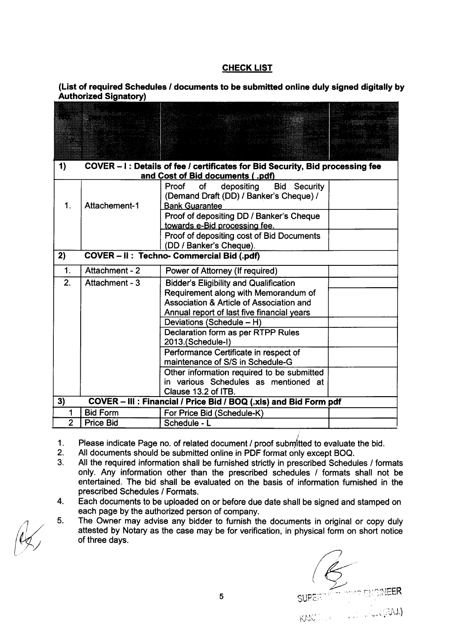#### **CHECK LIST**

#### (List of required Schedules *I* documents to be submitted online duly signed digitally by Authorized Signatory)

| 1)             |                                                                       | COVER - I : Details of fee / certificates for Bid Security, Bid processing fee |  |  |  |  |  |  |
|----------------|-----------------------------------------------------------------------|--------------------------------------------------------------------------------|--|--|--|--|--|--|
|                | and Cost of Bid documents (.pdf)                                      |                                                                                |  |  |  |  |  |  |
|                |                                                                       | Proof<br>depositing<br><b>Bid Security</b><br>of                               |  |  |  |  |  |  |
|                | Attachement-1                                                         | (Demand Draft (DD) / Banker's Cheque) /                                        |  |  |  |  |  |  |
| 1.             |                                                                       | <b>Bank Guarantee</b>                                                          |  |  |  |  |  |  |
|                |                                                                       | Proof of depositing DD / Banker's Cheque                                       |  |  |  |  |  |  |
|                |                                                                       | towards e-Bid processing fee.                                                  |  |  |  |  |  |  |
|                |                                                                       | Proof of depositing cost of Bid Documents                                      |  |  |  |  |  |  |
|                | (DD / Banker's Cheque).<br>COVER - II : Techno- Commercial Bid (.pdf) |                                                                                |  |  |  |  |  |  |
| 2)             |                                                                       |                                                                                |  |  |  |  |  |  |
| 1.             | Attachment - 2                                                        | Power of Attorney (If required)                                                |  |  |  |  |  |  |
| 2.             | Attachment - 3                                                        | <b>Bidder's Eligibility and Qualification</b>                                  |  |  |  |  |  |  |
|                |                                                                       | Requirement along with Memorandum of                                           |  |  |  |  |  |  |
|                |                                                                       | Association & Article of Association and                                       |  |  |  |  |  |  |
|                |                                                                       | Annual report of last five financial years                                     |  |  |  |  |  |  |
|                |                                                                       | Deviations (Schedule - H)                                                      |  |  |  |  |  |  |
|                |                                                                       | Declaration form as per RTPP Rules                                             |  |  |  |  |  |  |
|                |                                                                       | 2013.(Schedule-I)                                                              |  |  |  |  |  |  |
|                |                                                                       | Performance Certificate in respect of                                          |  |  |  |  |  |  |
|                |                                                                       | maintenance of S/S in Schedule-G                                               |  |  |  |  |  |  |
|                |                                                                       | Other information required to be submitted                                     |  |  |  |  |  |  |
|                |                                                                       | in various Schedules as mentioned at                                           |  |  |  |  |  |  |
|                |                                                                       | Clause 13.2 of ITB.                                                            |  |  |  |  |  |  |
| 3)             |                                                                       | COVER - III : Financial / Price Bid / BOQ (.xls) and Bid Form pdf              |  |  |  |  |  |  |
| 1              | <b>Bid Form</b>                                                       | For Price Bid (Schedule-K)                                                     |  |  |  |  |  |  |
| $\overline{2}$ | <b>Price Bid</b>                                                      | Schedule - L                                                                   |  |  |  |  |  |  |

Please indicate Page no. of related document / proof submitted to evaluate the bid. 1.

- All documents should be submitted online in PDF format only except BOO. 2.
- All the required information shall be furnished strictly in prescribed Schedules / formats only. Any information other than the prescribed schedules / formats shall not be entertained. The bid shall be evaluated on the basis of information furnished in the prescribed Schedules / Formats. 3.
- Each documents to be uploaded on or before due date shall be signed and stamped on each page by the authorized person of company. 4.
- The Owner may advise any bidder to furnish the documents in original or copy duly attested by Notary as the case may be for verification, in physical form on short notice of three days. 5.

SUPERTY THE ENGINEER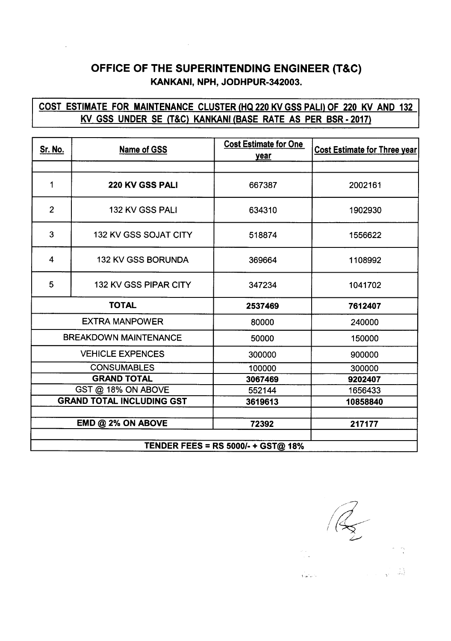# OFFICE OF THE SUPERINTENDING ENGINEER (T&C) KANKANI, NPH, JODHPUR-342003.

## COST ESTIMATE FOR MAINTENANCE CLUSTER (HQ 220 KV GSS PALI) OF 220 KV AND 132 KV GSS UNDER SE (T&C) KANKANI (BASE RATE AS PER BSR-2017)

| <b>Sr. No.</b>                            | <b>Name of GSS</b>              | <b>Cost Estimate for One</b><br>year | <b>Cost Estimate for Three year</b> |  |
|-------------------------------------------|---------------------------------|--------------------------------------|-------------------------------------|--|
|                                           |                                 |                                      |                                     |  |
| 1                                         | 220 KV GSS PALI                 | 667387                               | 2002161                             |  |
| $\overline{2}$                            | 132 KV GSS PALI                 | 634310                               | 1902930                             |  |
| 3                                         | 132 KV GSS SOJAT CITY<br>518874 |                                      | 1556622                             |  |
| 4                                         | <b>132 KV GSS BORUNDA</b>       | 369664                               | 1108992                             |  |
| 5                                         | <b>132 KV GSS PIPAR CITY</b>    | 347234                               | 1041702                             |  |
| <b>TOTAL</b>                              |                                 | 2537469                              | 7612407                             |  |
| <b>EXTRA MANPOWER</b>                     |                                 | 80000                                | 240000                              |  |
| <b>BREAKDOWN MAINTENANCE</b>              |                                 | 50000                                | 150000                              |  |
| <b>VEHICLE EXPENCES</b>                   |                                 | 300000                               | 900000                              |  |
| <b>CONSUMABLES</b>                        |                                 | 100000                               | 300000                              |  |
| <b>GRAND TOTAL</b>                        |                                 | 3067469                              | 9202407                             |  |
| GST @ 18% ON ABOVE                        |                                 | 552144                               | 1656433                             |  |
| <b>GRAND TOTAL INCLUDING GST</b>          |                                 | 3619613                              | 10858840                            |  |
|                                           | EMD @ 2% ON ABOVE               | 72392                                | 217177                              |  |
|                                           |                                 |                                      |                                     |  |
| <b>TENDER FEES = RS 5000/- + GST@ 18%</b> |                                 |                                      |                                     |  |

,..•. ,.

 $\mathbb{R}^2 \cup \mathbb{R}$